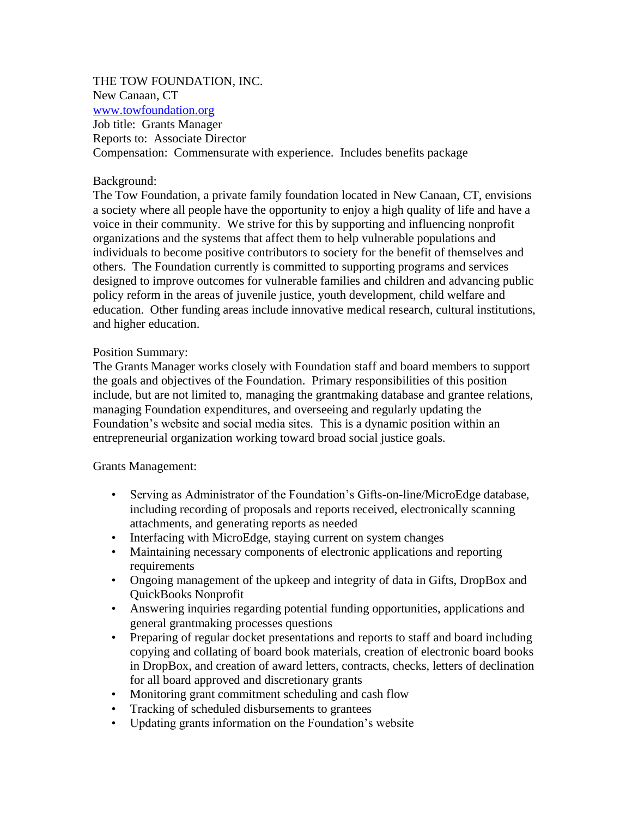## THE TOW FOUNDATION, INC.

New Canaan, CT

[www.towfoundation.org](http://www.towfoundation.org/)

Job title: Grants Manager Reports to: Associate Director Compensation: Commensurate with experience. Includes benefits package

## Background:

The Tow Foundation, a private family foundation located in New Canaan, CT, envisions a society where all people have the opportunity to enjoy a high quality of life and have a voice in their community. We strive for this by supporting and influencing nonprofit organizations and the systems that affect them to help vulnerable populations and individuals to become positive contributors to society for the benefit of themselves and others. The Foundation currently is committed to supporting programs and services designed to improve outcomes for vulnerable families and children and advancing public policy reform in the areas of juvenile justice, youth development, child welfare and education. Other funding areas include innovative medical research, cultural institutions, and higher education.

## Position Summary:

The Grants Manager works closely with Foundation staff and board members to support the goals and objectives of the Foundation. Primary responsibilities of this position include, but are not limited to, managing the grantmaking database and grantee relations, managing Foundation expenditures, and overseeing and regularly updating the Foundation's website and social media sites. This is a dynamic position within an entrepreneurial organization working toward broad social justice goals.

## Grants Management:

- Serving as Administrator of the Foundation's Gifts-on-line/MicroEdge database, including recording of proposals and reports received, electronically scanning attachments, and generating reports as needed
- Interfacing with MicroEdge, staying current on system changes
- Maintaining necessary components of electronic applications and reporting requirements
- Ongoing management of the upkeep and integrity of data in Gifts, DropBox and QuickBooks Nonprofit
- Answering inquiries regarding potential funding opportunities, applications and general grantmaking processes questions
- Preparing of regular docket presentations and reports to staff and board including copying and collating of board book materials, creation of electronic board books in DropBox, and creation of award letters, contracts, checks, letters of declination for all board approved and discretionary grants
- Monitoring grant commitment scheduling and cash flow
- Tracking of scheduled disbursements to grantees
- Updating grants information on the Foundation's website